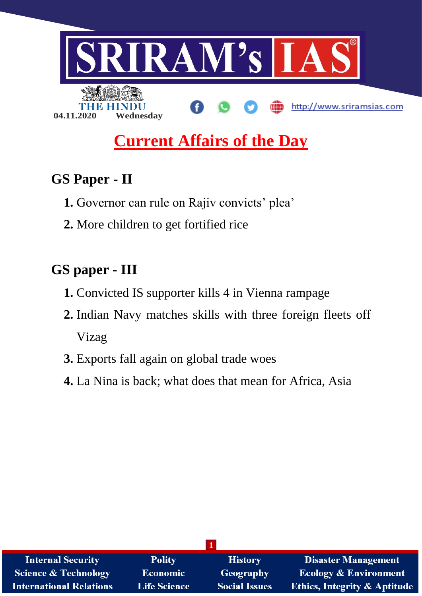

# **Current Affairs of the Day**

## **GS Paper - II**

- **1.** Governor can rule on Rajiv convicts' plea'
- **2.** More children to get fortified rice

## **GS paper - III**

- **1.** Convicted IS supporter kills 4 in Vienna rampage
- **2.** Indian Navy matches skills with three foreign fleets off Vizag
- **3.** Exports fall again on global trade woes
- **4.** La Nina is back; what does that mean for Africa, Asia

| <b>Internal Security</b>        | <b>Polity</b>       | <b>History</b>       | <b>Disaster Management</b>              |
|---------------------------------|---------------------|----------------------|-----------------------------------------|
| <b>Science &amp; Technology</b> | Economic            | <b>Geography</b>     | <b>Ecology &amp; Environment</b>        |
| <b>International Relations</b>  | <b>Life Science</b> | <b>Social Issues</b> | <b>Ethics, Integrity &amp; Aptitude</b> |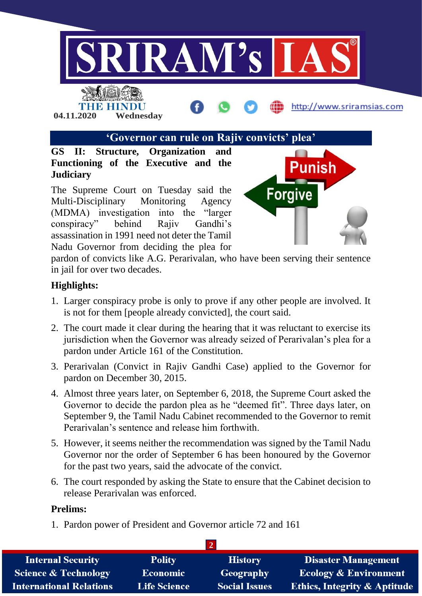

## **'Governor can rule on Rajiv convicts' plea'**

**GS II: Structure, Organization and Functioning of the Executive and the Judiciary**

**04.11.2020 Wednesday**

The Supreme Court on Tuesday said the Multi-Disciplinary Monitoring Agency (MDMA) investigation into the "larger conspiracy" behind Rajiv Gandhi's assassination in 1991 need not deter the Tamil Nadu Governor from deciding the plea for



http://www.sriramsias.com

pardon of convicts like A.G. Perarivalan, who have been serving their sentence in jail for over two decades.

### **Highlights:**

- 1. Larger conspiracy probe is only to prove if any other people are involved. It is not for them [people already convicted], the court said.
- 2. The court made it clear during the hearing that it was reluctant to exercise its jurisdiction when the Governor was already seized of Perarivalan's plea for a pardon under Article 161 of the Constitution.
- 3. Perarivalan (Convict in Rajiv Gandhi Case) applied to the Governor for pardon on December 30, 2015.
- 4. Almost three years later, on September 6, 2018, the Supreme Court asked the Governor to decide the pardon plea as he "deemed fit". Three days later, on September 9, the Tamil Nadu Cabinet recommended to the Governor to remit Perarivalan's sentence and release him forthwith.
- 5. However, it seems neither the recommendation was signed by the Tamil Nadu Governor nor the order of September 6 has been honoured by the Governor for the past two years, said the advocate of the convict.
- 6. The court responded by asking the State to ensure that the Cabinet decision to release Perarivalan was enforced.

### **Prelims:**

1. Pardon power of President and Governor article 72 and 161

| <b>Internal Security</b>        | <b>Polity</b>       | <b>History</b>       | <b>Disaster Management</b>              |
|---------------------------------|---------------------|----------------------|-----------------------------------------|
| <b>Science &amp; Technology</b> | <b>Economic</b>     | Geography            | <b>Ecology &amp; Environment</b>        |
| <b>International Relations</b>  | <b>Life Science</b> | <b>Social Issues</b> | <b>Ethics, Integrity &amp; Aptitude</b> |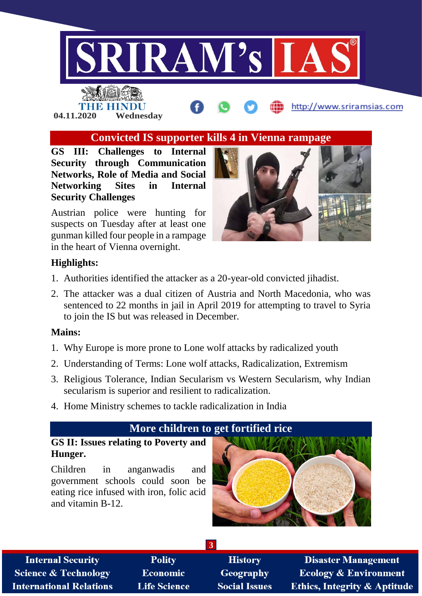

THE HINDU

**04.11.2020 Wednesday**

## **Convicted IS supporter kills 4 in Vienna rampage**

**GS III: Challenges to Internal Security through Communication Networks, Role of Media and Social Networking Sites in Internal Security Challenges**

Austrian police were hunting for suspects on Tuesday after at least one gunman killed four people in a rampage in the heart of Vienna overnight.



http://www.sriramsias.com

### **Highlights:**

- 1. Authorities identified the attacker as a 20-year-old convicted jihadist.
- 2. The attacker was a dual citizen of Austria and North Macedonia, who was sentenced to 22 months in jail in April 2019 for attempting to travel to Syria to join the IS but was released in December.

### **Mains:**

- 1. Why Europe is more prone to Lone wolf attacks by radicalized youth
- 2. Understanding of Terms: Lone wolf attacks, Radicalization, Extremism
- 3. Religious Tolerance, Indian Secularism vs Western Secularism, why Indian secularism is superior and resilient to radicalization.
- 4. Home Ministry schemes to tackle radicalization in India

## **More children to get fortified rice**

**3**

### **GS II: Issues relating to Poverty and Hunger.**

Children in anganwadis and government schools could soon be eating rice infused with iron, folic acid and vitamin B-12.



**Internal Security Science & Technology International Relations** 

**Polity** Economic **Life Science** 

**History** Geography **Social Issues** 

**Disaster Management Ecology & Environment Ethics, Integrity & Aptitude**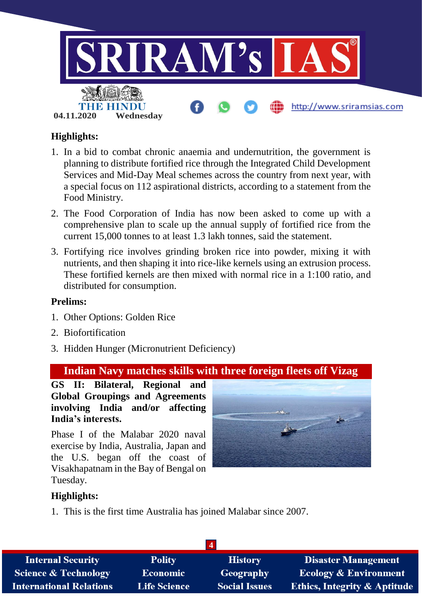

## **Highlights:**

- 1. In a bid to combat chronic anaemia and undernutrition, the government is planning to distribute fortified rice through the Integrated Child Development Services and Mid-Day Meal schemes across the country from next year, with a special focus on 112 aspirational districts, according to a statement from the Food Ministry.
- 2. The Food Corporation of India has now been asked to come up with a comprehensive plan to scale up the annual supply of fortified rice from the current 15,000 tonnes to at least 1.3 lakh tonnes, said the statement.
- 3. Fortifying rice involves grinding broken rice into powder, mixing it with nutrients, and then shaping it into rice-like kernels using an extrusion process. These fortified kernels are then mixed with normal rice in a 1:100 ratio, and distributed for consumption.

### **Prelims:**

- 1. Other Options: Golden Rice
- 2. Biofortification
- 3. Hidden Hunger (Micronutrient Deficiency)

## **Indian Navy matches skills with three foreign fleets off Vizag**

**GS II: Bilateral, Regional and Global Groupings and Agreements involving India and/or affecting India's interests.**

Phase I of the Malabar 2020 naval exercise by India, Australia, Japan and the U.S. began off the coast of Visakhapatnam in the Bay of Bengal on Tuesday.



## **Highlights:**

1. This is the first time Australia has joined Malabar since 2007.

| <b>Internal Security</b>        | <b>Polity</b>       | <b>History</b>       | <b>Disaster Management</b>              |
|---------------------------------|---------------------|----------------------|-----------------------------------------|
| <b>Science &amp; Technology</b> | <b>Economic</b>     | Geography            | <b>Ecology &amp; Environment</b>        |
| <b>International Relations</b>  | <b>Life Science</b> | <b>Social Issues</b> | <b>Ethics, Integrity &amp; Aptitude</b> |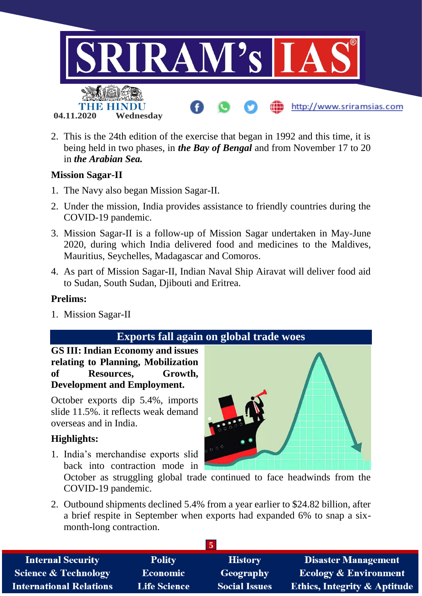

2. This is the 24th edition of the exercise that began in 1992 and this time, it is being held in two phases, in *the Bay of Bengal* and from November 17 to 20 in *the Arabian Sea.*

### **Mission Sagar-II**

- 1. The Navy also began Mission Sagar-II.
- 2. Under the mission, India provides assistance to friendly countries during the COVID-19 pandemic.
- 3. Mission Sagar-II is a follow-up of Mission Sagar undertaken in May-June 2020, during which India delivered food and medicines to the Maldives, Mauritius, Seychelles, Madagascar and Comoros.
- 4. As part of Mission Sagar-II, Indian Naval Ship Airavat will deliver food aid to Sudan, South Sudan, Djibouti and Eritrea.

#### **Prelims:**

1. Mission Sagar-II

## **Exports fall again on global trade woes**

**GS III: Indian Economy and issues relating to Planning, Mobilization of Resources, Growth, Development and Employment.**

October exports dip 5.4%, imports slide 11.5%. it reflects weak demand overseas and in India.

### **Highlights:**

1. India's merchandise exports slid back into contraction mode in



October as struggling global trade continued to face headwinds from the COVID-19 pandemic.

2. Outbound shipments declined 5.4% from a year earlier to \$24.82 billion, after a brief respite in September when exports had expanded 6% to snap a sixmonth-long contraction.

| <b>Internal Security</b>        | <b>Polity</b>       | <b>History</b>       | <b>Disaster Management</b>              |
|---------------------------------|---------------------|----------------------|-----------------------------------------|
| <b>Science &amp; Technology</b> | <b>Economic</b>     | Geography            | <b>Ecology &amp; Environment</b>        |
| <b>International Relations</b>  | <b>Life Science</b> | <b>Social Issues</b> | <b>Ethics, Integrity &amp; Aptitude</b> |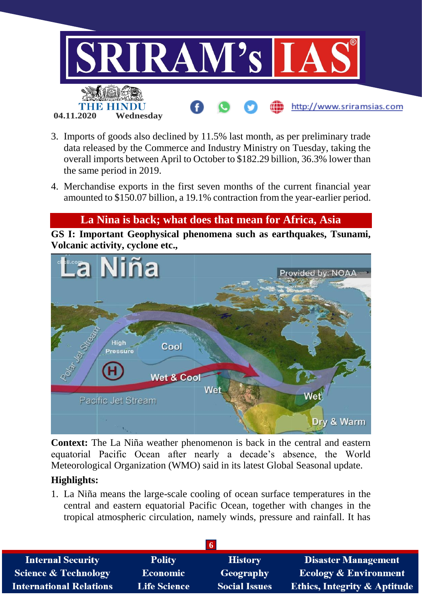

- 3. Imports of goods also declined by 11.5% last month, as per preliminary trade data released by the Commerce and Industry Ministry on Tuesday, taking the overall imports between April to October to \$182.29 billion, 36.3% lower than the same period in 2019.
- 4. Merchandise exports in the first seven months of the current financial year amounted to \$150.07 billion, a 19.1% contraction from the year-earlier period.

## **La Nina is back; what does that mean for Africa, Asia**

**GS I: Important Geophysical phenomena such as earthquakes, Tsunami, Volcanic activity, cyclone etc.,**



**Context:** The La Niña weather phenomenon is back in the central and eastern equatorial Pacific Ocean after nearly a decade's absence, the World Meteorological Organization (WMO) said in its latest Global Seasonal update.

### **Highlights:**

1. La Niña means the large-scale cooling of ocean surface temperatures in the central and eastern equatorial Pacific Ocean, together with changes in the tropical atmospheric circulation, namely winds, pressure and rainfall. It has

| <b>Internal Security</b>        | <b>Polity</b>       | <b>History</b>       | <b>Disaster Management</b>              |
|---------------------------------|---------------------|----------------------|-----------------------------------------|
| <b>Science &amp; Technology</b> | Economic            | Geography            | <b>Ecology &amp; Environment</b>        |
| <b>International Relations</b>  | <b>Life Science</b> | <b>Social Issues</b> | <b>Ethics, Integrity &amp; Aptitude</b> |